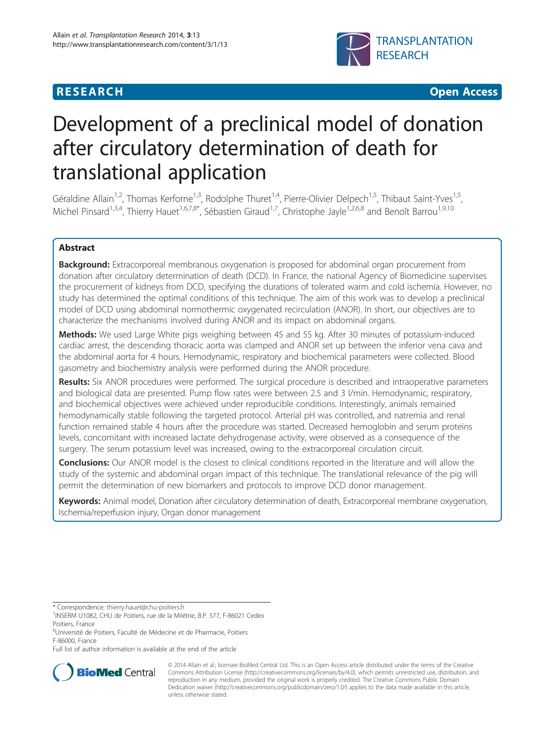## **RESEARCH CHEAR CHEAR CHEAR CHEAR CHEAR CHEAR CHEAR CHEAR CHEAR CHEAR CHEAR CHEAR CHEAR CHEAR CHEAR CHEAR CHEAR**



# Development of a preclinical model of donation after circulatory determination of death for translational application

Géraldine Allain<sup>1,2</sup>, Thomas Kerforne<sup>1,3</sup>, Rodolphe Thuret<sup>1,4</sup>, Pierre-Olivier Delpech<sup>1,5</sup>, Thibaut Saint-Yves<sup>1,5</sup>, Michel Pinsard<sup>1,3,4</sup>, Thierry Hauet<sup>1,6,7,8\*</sup>, Sébastien Giraud<sup>1,7</sup>, Christophe Jayle<sup>1,2,6,8</sup> and Benoît Barrou<sup>1,9,10</sup>

## Abstract

**Background:** Extracorporeal membranous oxygenation is proposed for abdominal organ procurement from donation after circulatory determination of death (DCD). In France, the national Agency of Biomedicine supervises the procurement of kidneys from DCD, specifying the durations of tolerated warm and cold ischemia. However, no study has determined the optimal conditions of this technique. The aim of this work was to develop a preclinical model of DCD using abdominal normothermic oxygenated recirculation (ANOR). In short, our objectives are to characterize the mechanisms involved during ANOR and its impact on abdominal organs.

Methods: We used Large White pigs weighing between 45 and 55 kg. After 30 minutes of potassium-induced cardiac arrest, the descending thoracic aorta was clamped and ANOR set up between the inferior vena cava and the abdominal aorta for 4 hours. Hemodynamic, respiratory and biochemical parameters were collected. Blood gasometry and biochemistry analysis were performed during the ANOR procedure.

Results: Six ANOR procedures were performed. The surgical procedure is described and intraoperative parameters and biological data are presented. Pump flow rates were between 2.5 and 3 l/min. Hemodynamic, respiratory, and biochemical objectives were achieved under reproducible conditions. Interestingly, animals remained hemodynamically stable following the targeted protocol. Arterial pH was controlled, and natremia and renal function remained stable 4 hours after the procedure was started. Decreased hemoglobin and serum proteins levels, concomitant with increased lactate dehydrogenase activity, were observed as a consequence of the surgery. The serum potassium level was increased, owing to the extracorporeal circulation circuit.

**Conclusions:** Our ANOR model is the closest to clinical conditions reported in the literature and will allow the study of the systemic and abdominal organ impact of this technique. The translational relevance of the pig will permit the determination of new biomarkers and protocols to improve DCD donor management.

Keywords: Animal model, Donation after circulatory determination of death, Extracorporeal membrane oxygenation, Ischemia/reperfusion injury, Organ donor management

\* Correspondence: [thierry.hauet@chu-poitiers.fr](mailto:thierry.hauet@chu-poitiers.fr) <sup>1</sup>

<sup>1</sup>INSERM U1082, CHU de Poitiers, rue de la Milétrie, B.P. 577, F-86021 Cedex Poitiers, France

Full list of author information is available at the end of the article



© 2014 Allain et al.; licensee BioMed Central Ltd. This is an Open Access article distributed under the terms of the Creative Commons Attribution License [\(http://creativecommons.org/licenses/by/4.0\)](http://creativecommons.org/licenses/by/4.0), which permits unrestricted use, distribution, and reproduction in any medium, provided the original work is properly credited. The Creative Commons Public Domain Dedication waiver [\(http://creativecommons.org/publicdomain/zero/1.0/](http://creativecommons.org/publicdomain/zero/1.0/)) applies to the data made available in this article, unless otherwise stated.

<sup>&</sup>lt;sup>6</sup>Université de Poitiers, Faculté de Médecine et de Pharmacie, Poitiers F-86000, France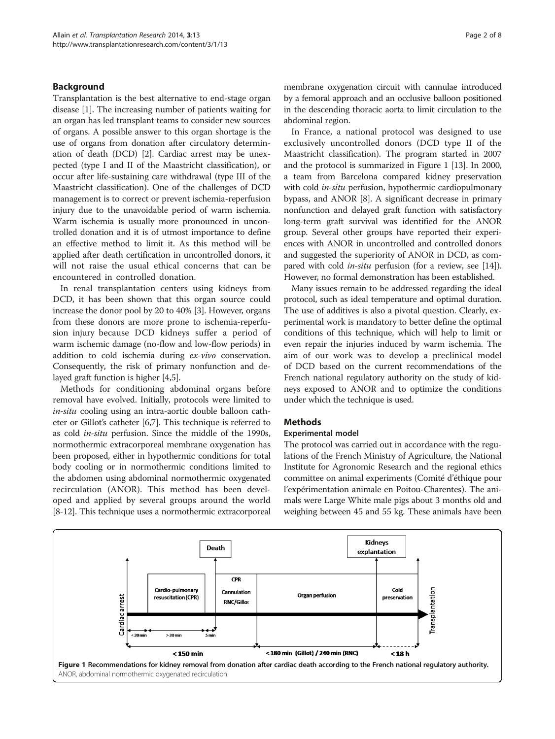### Background

Transplantation is the best alternative to end-stage organ disease [[1\]](#page-6-0). The increasing number of patients waiting for an organ has led transplant teams to consider new sources of organs. A possible answer to this organ shortage is the use of organs from donation after circulatory determination of death (DCD) [\[2](#page-6-0)]. Cardiac arrest may be unexpected (type I and II of the Maastricht classification), or occur after life-sustaining care withdrawal (type III of the Maastricht classification). One of the challenges of DCD management is to correct or prevent ischemia-reperfusion injury due to the unavoidable period of warm ischemia. Warm ischemia is usually more pronounced in uncontrolled donation and it is of utmost importance to define an effective method to limit it. As this method will be applied after death certification in uncontrolled donors, it will not raise the usual ethical concerns that can be encountered in controlled donation.

In renal transplantation centers using kidneys from DCD, it has been shown that this organ source could increase the donor pool by 20 to 40% [\[3](#page-6-0)]. However, organs from these donors are more prone to ischemia-reperfusion injury because DCD kidneys suffer a period of warm ischemic damage (no-flow and low-flow periods) in addition to cold ischemia during ex-vivo conservation. Consequently, the risk of primary nonfunction and delayed graft function is higher [\[4,5\]](#page-6-0).

Methods for conditioning abdominal organs before removal have evolved. Initially, protocols were limited to in-situ cooling using an intra-aortic double balloon catheter or Gillot's catheter [[6,7](#page-6-0)]. This technique is referred to as cold in-situ perfusion. Since the middle of the 1990s, normothermic extracorporeal membrane oxygenation has been proposed, either in hypothermic conditions for total body cooling or in normothermic conditions limited to the abdomen using abdominal normothermic oxygenated recirculation (ANOR). This method has been developed and applied by several groups around the world [[8-12](#page-6-0)]. This technique uses a normothermic extracorporeal membrane oxygenation circuit with cannulae introduced by a femoral approach and an occlusive balloon positioned in the descending thoracic aorta to limit circulation to the abdominal region.

In France, a national protocol was designed to use exclusively uncontrolled donors (DCD type II of the Maastricht classification). The program started in 2007 and the protocol is summarized in Figure 1 [\[13](#page-6-0)]. In 2000, a team from Barcelona compared kidney preservation with cold *in-situ* perfusion, hypothermic cardiopulmonary bypass, and ANOR [[8](#page-6-0)]. A significant decrease in primary nonfunction and delayed graft function with satisfactory long-term graft survival was identified for the ANOR group. Several other groups have reported their experiences with ANOR in uncontrolled and controlled donors and suggested the superiority of ANOR in DCD, as compared with cold *in-situ* perfusion (for a review, see [[14](#page-6-0)]). However, no formal demonstration has been established.

Many issues remain to be addressed regarding the ideal protocol, such as ideal temperature and optimal duration. The use of additives is also a pivotal question. Clearly, experimental work is mandatory to better define the optimal conditions of this technique, which will help to limit or even repair the injuries induced by warm ischemia. The aim of our work was to develop a preclinical model of DCD based on the current recommendations of the French national regulatory authority on the study of kidneys exposed to ANOR and to optimize the conditions under which the technique is used.

#### **Methods**

## Experimental model

The protocol was carried out in accordance with the regulations of the French Ministry of Agriculture, the National Institute for Agronomic Research and the regional ethics committee on animal experiments (Comité d'éthique pour l'expérimentation animale en Poitou-Charentes). The animals were Large White male pigs about 3 months old and weighing between 45 and 55 kg. These animals have been

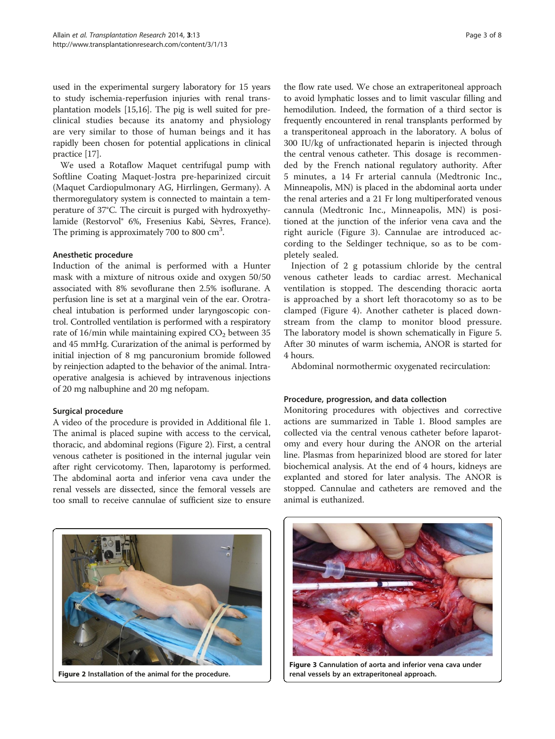used in the experimental surgery laboratory for 15 years to study ischemia-reperfusion injuries with renal transplantation models [\[15,16\]](#page-6-0). The pig is well suited for preclinical studies because its anatomy and physiology are very similar to those of human beings and it has rapidly been chosen for potential applications in clinical practice [[17\]](#page-6-0).

We used a Rotaflow Maquet centrifugal pump with Softline Coating Maquet-Jostra pre-heparinized circuit (Maquet Cardiopulmonary AG, Hirrlingen, Germany). A thermoregulatory system is connected to maintain a temperature of 37°C. The circuit is purged with hydroxyethylamide (Restorvol® 6%, Fresenius Kabi, Sèvres, France). The priming is approximately 700 to 800  $\text{cm}^3$ .

#### Anesthetic procedure

Induction of the animal is performed with a Hunter mask with a mixture of nitrous oxide and oxygen 50/50 associated with 8% sevoflurane then 2.5% isoflurane. A perfusion line is set at a marginal vein of the ear. Orotracheal intubation is performed under laryngoscopic control. Controlled ventilation is performed with a respiratory rate of 16/min while maintaining expired  $CO<sub>2</sub>$  between 35 and 45 mmHg. Curarization of the animal is performed by initial injection of 8 mg pancuronium bromide followed by reinjection adapted to the behavior of the animal. Intraoperative analgesia is achieved by intravenous injections of 20 mg nalbuphine and 20 mg nefopam.

#### Surgical procedure

A video of the procedure is provided in Additional file [1](#page-6-0). The animal is placed supine with access to the cervical, thoracic, and abdominal regions (Figure 2). First, a central venous catheter is positioned in the internal jugular vein after right cervicotomy. Then, laparotomy is performed. The abdominal aorta and inferior vena cava under the renal vessels are dissected, since the femoral vessels are too small to receive cannulae of sufficient size to ensure

the flow rate used. We chose an extraperitoneal approach to avoid lymphatic losses and to limit vascular filling and hemodilution. Indeed, the formation of a third sector is frequently encountered in renal transplants performed by a transperitoneal approach in the laboratory. A bolus of 300 IU/kg of unfractionated heparin is injected through the central venous catheter. This dosage is recommended by the French national regulatory authority. After 5 minutes, a 14 Fr arterial cannula (Medtronic Inc., Minneapolis, MN) is placed in the abdominal aorta under the renal arteries and a 21 Fr long multiperforated venous cannula (Medtronic Inc., Minneapolis, MN) is positioned at the junction of the inferior vena cava and the right auricle (Figure 3). Cannulae are introduced according to the Seldinger technique, so as to be completely sealed.

Injection of 2 g potassium chloride by the central venous catheter leads to cardiac arrest. Mechanical ventilation is stopped. The descending thoracic aorta is approached by a short left thoracotomy so as to be clamped (Figure [4](#page-3-0)). Another catheter is placed downstream from the clamp to monitor blood pressure. The laboratory model is shown schematically in Figure [5](#page-3-0). After 30 minutes of warm ischemia, ANOR is started for 4 hours.

Abdominal normothermic oxygenated recirculation:

## Procedure, progression, and data collection

Monitoring procedures with objectives and corrective actions are summarized in Table [1](#page-4-0). Blood samples are collected via the central venous catheter before laparotomy and every hour during the ANOR on the arterial line. Plasmas from heparinized blood are stored for later biochemical analysis. At the end of 4 hours, kidneys are explanted and stored for later analysis. The ANOR is stopped. Cannulae and catheters are removed and the animal is euthanized.



Figure 2 Installation of the animal for the procedure.



Figure 3 Cannulation of aorta and inferior vena cava under renal vessels by an extraperitoneal approach.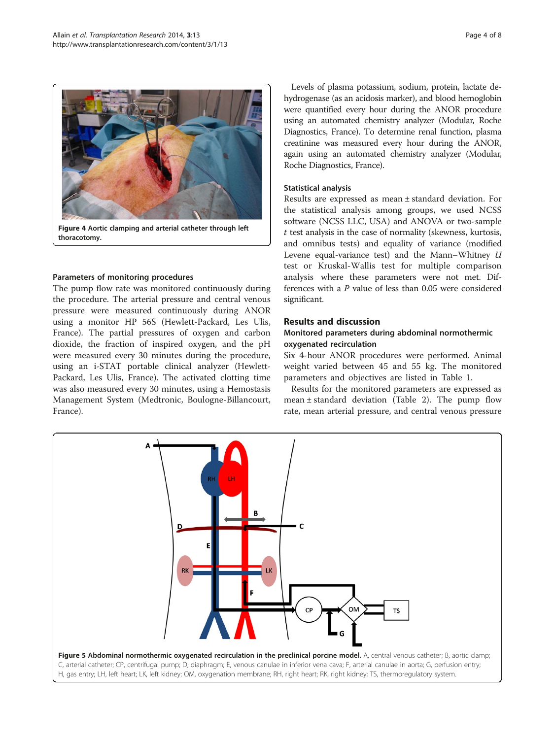<span id="page-3-0"></span>

Figure 4 Aortic clamping and arterial catheter through left thoracotomy.

## Parameters of monitoring procedures

The pump flow rate was monitored continuously during the procedure. The arterial pressure and central venous pressure were measured continuously during ANOR using a monitor HP 56S (Hewlett-Packard, Les Ulis, France). The partial pressures of oxygen and carbon dioxide, the fraction of inspired oxygen, and the pH were measured every 30 minutes during the procedure, using an i-STAT portable clinical analyzer (Hewlett-Packard, Les Ulis, France). The activated clotting time was also measured every 30 minutes, using a Hemostasis Management System (Medtronic, Boulogne-Billancourt, France).

Levels of plasma potassium, sodium, protein, lactate dehydrogenase (as an acidosis marker), and blood hemoglobin were quantified every hour during the ANOR procedure using an automated chemistry analyzer (Modular, Roche Diagnostics, France). To determine renal function, plasma creatinine was measured every hour during the ANOR, again using an automated chemistry analyzer (Modular, Roche Diagnostics, France).

## Statistical analysis

Results are expressed as mean ± standard deviation. For the statistical analysis among groups, we used NCSS software (NCSS LLC, USA) and ANOVA or two-sample  $t$  test analysis in the case of normality (skewness, kurtosis, and omnibus tests) and equality of variance (modified Levene equal-variance test) and the Mann–Whitney U test or Kruskal-Wallis test for multiple comparison analysis where these parameters were not met. Differences with a P value of less than 0.05 were considered significant.

## Results and discussion

## Monitored parameters during abdominal normothermic oxygenated recirculation

Six 4-hour ANOR procedures were performed. Animal weight varied between 45 and 55 kg. The monitored parameters and objectives are listed in Table [1](#page-4-0).

Results for the monitored parameters are expressed as mean ± standard deviation (Table [2\)](#page-4-0). The pump flow rate, mean arterial pressure, and central venous pressure

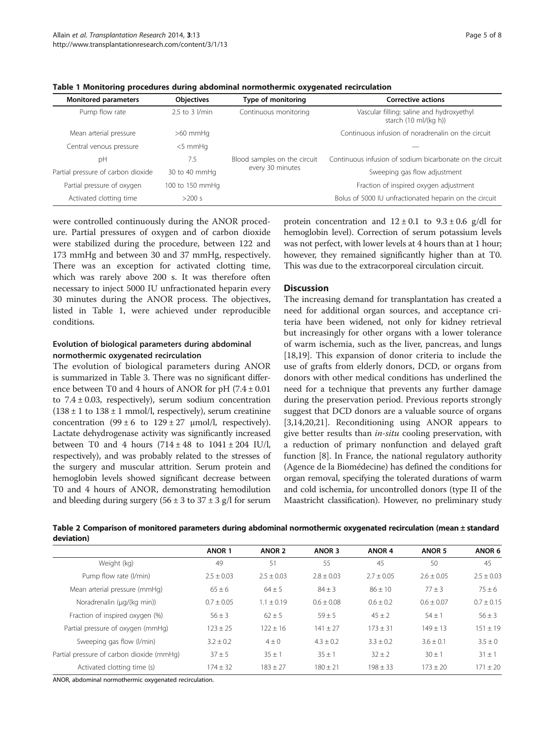| <b>Monitored parameters</b>        | <b>Objectives</b>    | Type of monitoring           | <b>Corrective actions</b>                                          |
|------------------------------------|----------------------|------------------------------|--------------------------------------------------------------------|
| Pump flow rate                     | $2.5$ to $3$ $1/min$ | Continuous monitoring        | Vascular filling: saline and hydroxyethyl<br>starch (10 ml/(kg h)) |
| Mean arterial pressure             | $>60$ mmHq           |                              | Continuous infusion of noradrenalin on the circuit                 |
| Central venous pressure            | $<$ 5 mmHq           |                              |                                                                    |
| pH                                 | 7.5                  | Blood samples on the circuit | Continuous infusion of sodium bicarbonate on the circuit           |
| Partial pressure of carbon dioxide | 30 to 40 mmHg        | every 30 minutes             | Sweeping gas flow adjustment                                       |
| Partial pressure of oxygen         | 100 to 150 mmHg      |                              | Fraction of inspired oxygen adjustment                             |
| Activated clotting time            | >200 s               |                              | Bolus of 5000 IU unfractionated heparin on the circuit             |

<span id="page-4-0"></span>Table 1 Monitoring procedures during abdominal normothermic oxygenated recirculation

were controlled continuously during the ANOR procedure. Partial pressures of oxygen and of carbon dioxide were stabilized during the procedure, between 122 and 173 mmHg and between 30 and 37 mmHg, respectively. There was an exception for activated clotting time, which was rarely above 200 s. It was therefore often necessary to inject 5000 IU unfractionated heparin every 30 minutes during the ANOR process. The objectives, listed in Table 1, were achieved under reproducible conditions.

## Evolution of biological parameters during abdominal normothermic oxygenated recirculation

The evolution of biological parameters during ANOR is summarized in Table [3.](#page-5-0) There was no significant difference between T0 and 4 hours of ANOR for pH  $(7.4 \pm 0.01)$ to  $7.4 \pm 0.03$ , respectively), serum sodium concentration  $(138 \pm 1 \text{ to } 138 \pm 1 \text{ mmol/l},$  respectively), serum creatinine concentration  $(99 \pm 6$  to  $129 \pm 27$  µmol/l, respectively). Lactate dehydrogenase activity was significantly increased between T0 and 4 hours  $(714 \pm 48 \text{ to } 1041 \pm 204 \text{ IU/l},$ respectively), and was probably related to the stresses of the surgery and muscular attrition. Serum protein and hemoglobin levels showed significant decrease between T0 and 4 hours of ANOR, demonstrating hemodilution and bleeding during surgery  $(56 \pm 3 \text{ to } 37 \pm 3 \text{ g/l})$  for serum protein concentration and  $12 \pm 0.1$  to  $9.3 \pm 0.6$  g/dl for hemoglobin level). Correction of serum potassium levels was not perfect, with lower levels at 4 hours than at 1 hour; however, they remained significantly higher than at T0. This was due to the extracorporeal circulation circuit.

## **Discussion**

The increasing demand for transplantation has created a need for additional organ sources, and acceptance criteria have been widened, not only for kidney retrieval but increasingly for other organs with a lower tolerance of warm ischemia, such as the liver, pancreas, and lungs [[18,](#page-6-0)[19\]](#page-7-0). This expansion of donor criteria to include the use of grafts from elderly donors, DCD, or organs from donors with other medical conditions has underlined the need for a technique that prevents any further damage during the preservation period. Previous reports strongly suggest that DCD donors are a valuable source of organs [[3,14,](#page-6-0)[20,21\]](#page-7-0). Reconditioning using ANOR appears to give better results than *in-situ* cooling preservation, with a reduction of primary nonfunction and delayed graft function [\[8](#page-6-0)]. In France, the national regulatory authority (Agence de la Biomédecine) has defined the conditions for organ removal, specifying the tolerated durations of warm and cold ischemia, for uncontrolled donors (type II of the Maastricht classification). However, no preliminary study

| Table 2 Comparison of monitored parameters during abdominal normothermic oxygenated recirculation (mean ± standard |  |
|--------------------------------------------------------------------------------------------------------------------|--|
| deviation)                                                                                                         |  |

|                                           | ANOR 1       | ANOR <sub>2</sub> | ANOR 3       | ANOR 4         | ANOR 5       | ANOR 6         |
|-------------------------------------------|--------------|-------------------|--------------|----------------|--------------|----------------|
| Weight (kg)                               | 49           | 51                | 55           | 45             | 50           | 45             |
| Pump flow rate (I/min)                    | $2.5 + 0.03$ | $2.5 \pm 0.03$    | $2.8 + 0.03$ | $2.7 \pm 0.05$ | $2.6 + 0.05$ | $2.5 \pm 0.03$ |
| Mean arterial pressure (mmHg)             | $65 + 6$     | $64 + 5$          | $84 + 3$     | $86 + 10$      | $77 + 3$     | $75 + 6$       |
| Noradrenalin (µg/(kg min))                | $0.7 + 0.05$ | $1.1 \pm 0.19$    | $0.6 + 0.08$ | $0.6 + 0.2$    | $0.6 + 0.07$ | $0.7 + 0.15$   |
| Fraction of inspired oxygen (%)           | $56 \pm 3$   | $62 + 5$          | $59 + 5$     | $45 + 2$       | $54 + 1$     | $56 + 3$       |
| Partial pressure of oxygen (mmHg)         | $123 + 25$   | $122 + 16$        | $141 + 27$   | $173 + 31$     | $149 + 13$   | $151 + 19$     |
| Sweeping gas flow (I/min)                 | $3.2 + 0.2$  | $4 + 0$           | $4.3 + 0.2$  | $3.3 + 0.2$    | $3.6 + 0.1$  | $3.5 + 0$      |
| Partial pressure of carbon dioxide (mmHg) | $37 + 5$     | $35 \pm 1$        | $35 + 1$     | $32 + 2$       | $30 + 1$     | $31 + 1$       |
| Activated clotting time (s)               | $174 \pm 32$ | $183 \pm 27$      | $180 + 21$   | $198 \pm 33$   | $173 + 20$   | $171 + 20$     |

ANOR, abdominal normothermic oxygenated recirculation.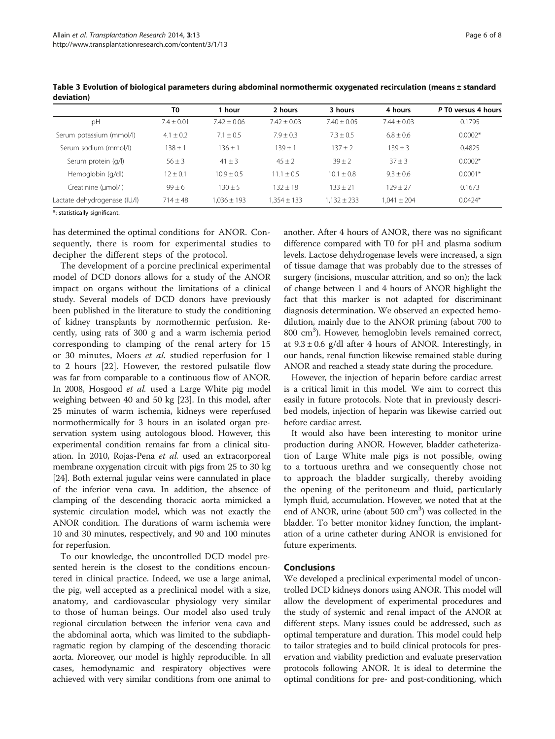|                              | T0            | hour            | 2 hours         | 3 hours        | 4 hours         | P T0 versus 4 hours |
|------------------------------|---------------|-----------------|-----------------|----------------|-----------------|---------------------|
| pH                           | $7.4 + 0.01$  | $7.42 + 0.06$   | $7.42 + 0.03$   | $7.40 + 0.05$  | $7.44 + 0.03$   | 0.1795              |
| Serum potassium (mmol/l)     | $4.1 \pm 0.2$ | $7.1 + 0.5$     | $7.9 + 0.3$     | $7.3 + 0.5$    | $6.8 + 0.6$     | $0.0002*$           |
| Serum sodium (mmol/l)        | $138 + 1$     | $136 + 1$       | $139 + 1$       | $137 + 2$      | $139 + 3$       | 0.4825              |
| Serum protein (g/l)          | $56 \pm 3$    | $41 \pm 3$      | $45 + 2$        | $39 \pm 2$     | $37 + 3$        | $0.0002*$           |
| Hemoglobin (g/dl)            | $12 \pm 0.1$  | $10.9 + 0.5$    | $11.1 + 0.5$    | $10.1 \pm 0.8$ | $9.3 + 0.6$     | $0.0001*$           |
| Creatinine (µmol/l)          | $99 \pm 6$    | $130 + 5$       | $132 + 18$      | $133 + 21$     | $129 + 27$      | 0.1673              |
| Lactate dehydrogenase (IU/I) | $714 + 48$    | $1.036 \pm 193$ | $1.354 \pm 133$ | $.132 \pm 233$ | $1.041 \pm 204$ | $0.0424*$           |

<span id="page-5-0"></span>Table 3 Evolution of biological parameters during abdominal normothermic oxygenated recirculation (means ± standard deviation)

\*: statistically significant.

has determined the optimal conditions for ANOR. Consequently, there is room for experimental studies to decipher the different steps of the protocol.

The development of a porcine preclinical experimental model of DCD donors allows for a study of the ANOR impact on organs without the limitations of a clinical study. Several models of DCD donors have previously been published in the literature to study the conditioning of kidney transplants by normothermic perfusion. Recently, using rats of 300 g and a warm ischemia period corresponding to clamping of the renal artery for 15 or 30 minutes, Moers et al. studied reperfusion for 1 to 2 hours [[22\]](#page-7-0). However, the restored pulsatile flow was far from comparable to a continuous flow of ANOR. In 2008, Hosgood et al. used a Large White pig model weighing between 40 and 50 kg [\[23](#page-7-0)]. In this model, after 25 minutes of warm ischemia, kidneys were reperfused normothermically for 3 hours in an isolated organ preservation system using autologous blood. However, this experimental condition remains far from a clinical situation. In 2010, Rojas-Pena et al. used an extracorporeal membrane oxygenation circuit with pigs from 25 to 30 kg [[24](#page-7-0)]. Both external jugular veins were cannulated in place of the inferior vena cava. In addition, the absence of clamping of the descending thoracic aorta mimicked a systemic circulation model, which was not exactly the ANOR condition. The durations of warm ischemia were 10 and 30 minutes, respectively, and 90 and 100 minutes for reperfusion.

To our knowledge, the uncontrolled DCD model presented herein is the closest to the conditions encountered in clinical practice. Indeed, we use a large animal, the pig, well accepted as a preclinical model with a size, anatomy, and cardiovascular physiology very similar to those of human beings. Our model also used truly regional circulation between the inferior vena cava and the abdominal aorta, which was limited to the subdiaphragmatic region by clamping of the descending thoracic aorta. Moreover, our model is highly reproducible. In all cases, hemodynamic and respiratory objectives were achieved with very similar conditions from one animal to another. After 4 hours of ANOR, there was no significant difference compared with T0 for pH and plasma sodium levels. Lactose dehydrogenase levels were increased, a sign of tissue damage that was probably due to the stresses of surgery (incisions, muscular attrition, and so on); the lack of change between 1 and 4 hours of ANOR highlight the fact that this marker is not adapted for discriminant diagnosis determination. We observed an expected hemodilution, mainly due to the ANOR priming (about 700 to 800 cm3 ). However, hemoglobin levels remained correct, at  $9.3 \pm 0.6$  g/dl after 4 hours of ANOR. Interestingly, in our hands, renal function likewise remained stable during ANOR and reached a steady state during the procedure.

However, the injection of heparin before cardiac arrest is a critical limit in this model. We aim to correct this easily in future protocols. Note that in previously described models, injection of heparin was likewise carried out before cardiac arrest.

It would also have been interesting to monitor urine production during ANOR. However, bladder catheterization of Large White male pigs is not possible, owing to a tortuous urethra and we consequently chose not to approach the bladder surgically, thereby avoiding the opening of the peritoneum and fluid, particularly lymph fluid, accumulation. However, we noted that at the end of ANOR, urine (about 500 cm<sup>3</sup>) was collected in the bladder. To better monitor kidney function, the implantation of a urine catheter during ANOR is envisioned for future experiments.

#### Conclusions

We developed a preclinical experimental model of uncontrolled DCD kidneys donors using ANOR. This model will allow the development of experimental procedures and the study of systemic and renal impact of the ANOR at different steps. Many issues could be addressed, such as optimal temperature and duration. This model could help to tailor strategies and to build clinical protocols for preservation and viability prediction and evaluate preservation protocols following ANOR. It is ideal to determine the optimal conditions for pre- and post-conditioning, which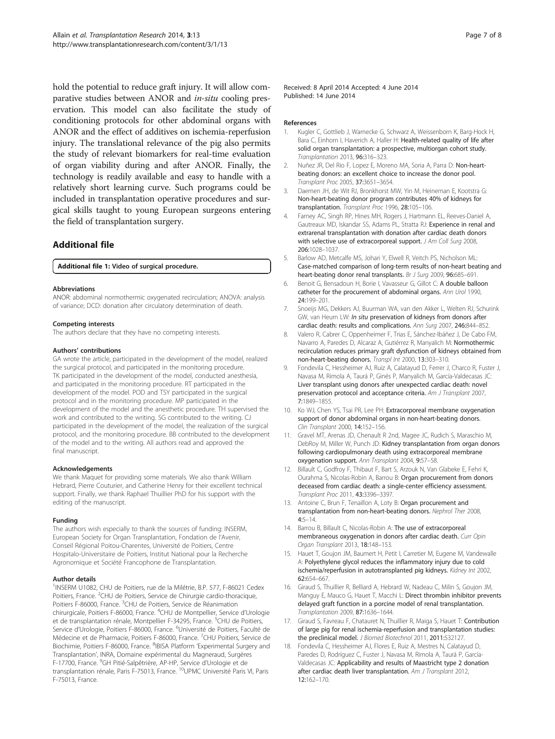<span id="page-6-0"></span>hold the potential to reduce graft injury. It will allow comparative studies between ANOR and in-situ cooling preservation. This model can also facilitate the study of conditioning protocols for other abdominal organs with ANOR and the effect of additives on ischemia-reperfusion injury. The translational relevance of the pig also permits the study of relevant biomarkers for real-time evaluation of organ viability during and after ANOR. Finally, the technology is readily available and easy to handle with a relatively short learning curve. Such programs could be included in transplantation operative procedures and surgical skills taught to young European surgeons entering the field of transplantation surgery.

## Additional file

[Additional file 1:](http://www.biomedcentral.com/content/supplementary/2047-1440-3-13-S1.mp4) Video of surgical procedure.

#### Abbreviations

ANOR: abdominal normothermic oxygenated recirculation; ANOVA: analysis of variance; DCD: donation after circulatory determination of death.

#### Competing interests

The authors declare that they have no competing interests.

#### Authors' contributions

GA wrote the article, participated in the development of the model, realized the surgical protocol, and participated in the monitoring procedure. TK participated in the development of the model, conducted anesthesia, and participated in the monitoring procedure. RT participated in the development of the model. POD and TSY participated in the surgical protocol and in the monitoring procedure. MP participated in the development of the model and the anesthetic procedure. TH supervised the work and contributed to the writing. SG contributed to the writing. CJ participated in the development of the model, the realization of the surgical protocol, and the monitoring procedure. BB contributed to the development of the model and to the writing. All authors read and approved the final manuscript.

#### Acknowledgements

We thank Maquet for providing some materials. We also thank William Hebrard, Pierre Couturier, and Catherine Henry for their excellent technical support. Finally, we thank Raphael Thuillier PhD for his support with the editing of the manuscript.

#### Funding

The authors wish especially to thank the sources of funding: INSERM, European Society for Organ Transplantation, Fondation de l'Avenir, Conseil Régional Poitou-Charentes, Université de Poitiers, Centre Hospitalo-Universitaire de Poitiers, Institut National pour la Recherche Agronomique et Société Francophone de Transplantation.

#### Author details

<sup>1</sup>INSERM U1082, CHU de Poitiers, rue de la Milétrie, B.P. 577, F-86021 Cedex Poitiers, France. <sup>2</sup>CHU de Poitiers, Service de Chirurgie cardio-thoracique, Poitiers F-86000, France. <sup>3</sup>CHU de Poitiers, Service de Réanimation chirurgicale, Poitiers F-86000, France. <sup>4</sup>CHU de Montpellier, Service d'Urologie et de transplantation rénale, Montpellier F-34295, France. <sup>5</sup>CHU de Poitiers, Service d'Urologie, Poitiers F-86000, France. <sup>6</sup>Université de Poitiers, Faculté de Médecine et de Pharmacie, Poitiers F-86000, France. <sup>7</sup>CHU Poitiers, Service de Biochimie, Poitiers F-86000, France. <sup>8</sup>IBISA Platform 'Experimental Surgery and Transplantation', INRA, Domaine expérimental du Magneraud, Surgères F-17700, France. <sup>9</sup>GH Pitié-Salpêtrière, AP-HP, Service d'Urologie et de transplantation rénale, Paris F-75013, France. <sup>10</sup>UPMC Université Paris VI, Paris F-75013, France.

Received: 8 April 2014 Accepted: 4 June 2014 Published: 14 June 2014

#### References

- 1. Kugler C, Gottlieb J, Warnecke G, Schwarz A, Weissenborn K, Barg-Hock H, Bara C, Einhorn I, Haverich A, Haller H: Health-related quality of life after solid organ transplantation: a prospective, multiorgan cohort study. Transplantation 2013, 96:316–323.
- 2. Nuñez JR, Del Rio F, Lopez E, Moreno MA, Soria A, Parra D: Non-heartbeating donors: an excellent choice to increase the donor pool. Transplant Proc 2005, 37:3651–3654.
- 3. Daemen JH, de Wit RJ, Bronkhorst MW, Yin M, Heineman E, Kootstra G: Non-heart-beating donor program contributes 40% of kidneys for transplantation. Transplant Proc 1996, 28:105–106.
- 4. Farney AC, Singh RP, Hines MH, Rogers J, Hartmann EL, Reeves-Daniel A, Gautreaux MD, Iskandar SS, Adams PL, Stratta RJ: Experience in renal and extrarenal transplantation with donation after cardiac death donors with selective use of extracorporeal support. J Am Coll Surg 2008, 206:1028–1037.
- 5. Barlow AD, Metcalfe MS, Johari Y, Elwell R, Veitch PS, Nicholson ML: Case-matched comparison of long-term results of non-heart beating and heart-beating donor renal transplants. Br J Surg 2009, 96:685-691.
- 6. Benoit G, Bensadoun H, Borie I, Vavasseur G, Gillot C: A double balloon catheter for the procurement of abdominal organs. Ann Urol 1990, 24:199–201.
- 7. Snoeijs MG, Dekkers AJ, Buurman WA, van den Akker L, Welten RJ, Schurink GW, van Heurn LW: In situ preservation of kidneys from donors after cardiac death: results and complications. Ann Surg 2007, 246:844–852.
- 8. Valero R, Cabrer C, Oppenheimer F, Trias E, Sánchez-Ibáñez J, De Cabo FM, Navarro A, Paredes D, Alcaraz A, Gutiérrez R, Manyalich M: Normothermic recirculation reduces primary graft dysfunction of kidneys obtained from non-heart-beating donors. Transpl Int 2000, 13:303–310.
- 9. Fondevila C, Hessheimer AJ, Ruiz A, Calatayud D, Ferrer J, Charco R, Fuster J, Navasa M, Rimola A, Taurá P, Ginés P, Manyalich M, García-Valdecasas JC: Liver transplant using donors after unexpected cardiac death: novel preservation protocol and acceptance criteria. Am J Transplant 2007, 7:1849–1855.
- 10. Ko WJ, Chen YS, Tsai PR, Lee PH: Extracorporeal membrane oxygenation support of donor abdominal organs in non-heart-beating donors. Clin Transplant 2000, 14:152–156.
- 11. Gravel MT, Arenas JD, Chenault R 2nd, Magee JC, Rudich S, Maraschio M, DebRoy M, Miller W, Punch JD: Kidney transplantation from organ donors following cardiopulmonary death using extracorporeal membrane oxygenation support. Ann Transplant 2004, 9:57–58.
- 12. Billault C, Godfroy F, Thibaut F, Bart S, Arzouk N, Van Glabeke E, Fehri K, Ourahma S, Nicolas-Robin A, Barrou B: Organ procurement from donors deceased from cardiac death: a single-center efficiency assessment. Transplant Proc 2011, 43:3396–3397.
- 13. Antoine C, Brun F, Tenaillon A, Loty B: Organ procurement and transplantation from non-heart-beating donors. Nephrol Ther 2008, 4:5–14.
- 14. Barrou B, Billault C, Nicolas-Robin A: The use of extracorporeal membraneous oxygenation in donors after cardiac death. Curr Opin Organ Transplant 2013, 18:148–153.
- 15. Hauet T, Goujon JM, Baumert H, Petit I, Carretier M, Eugene M, Vandewalle A: Polyethylene glycol reduces the inflammatory injury due to cold ischemia/reperfusion in autotransplanted pig kidneys. Kidney Int 2002, 62:654–667.
- 16. Giraud S, Thuillier R, Belliard A, Hebrard W, Nadeau C, Milin S, Goujon JM, Manguy E, Mauco G, Hauet T, Macchi L: Direct thrombin inhibitor prevents delayed graft function in a porcine model of renal transplantation. Transplantation 2009, 87:1636–1644.
- 17. Giraud S, Favreau F, Chatauret N, Thuillier R, Maiga S, Hauet T: Contribution of large pig for renal ischemia-reperfusion and transplantation studies: the preclinical model. J Biomed Biotechnol 2011, 2011:532127.
- 18. Fondevila C, Hessheimer AJ, Flores E, Ruiz A, Mestres N, Calatayud D, Paredes D, Rodríguez C, Fuster J, Navasa M, Rimola A, Taurá P, García-Valdecasas JC: Applicability and results of Maastricht type 2 donation after cardiac death liver transplantation. Am J Transplant 2012, 12:162–170.